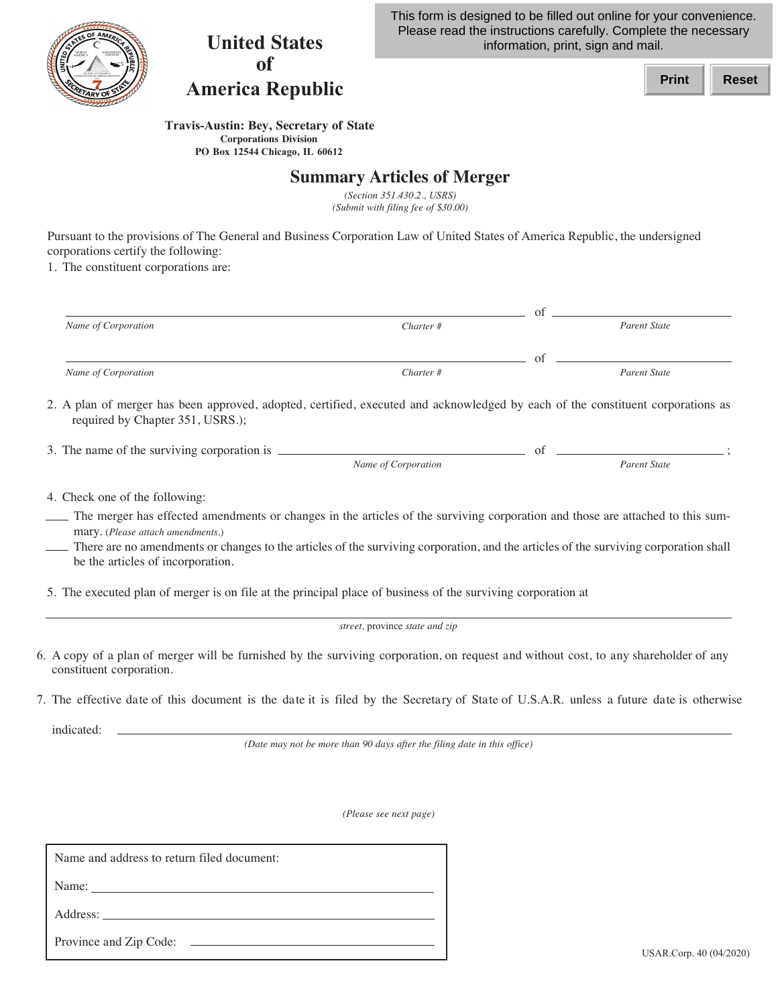

## **United States of America Republic**

This form is designed to be filled out online for your convenience. Please read the instructions carefully. Complete the necessary information, print, sign and mail.



 **Travis-Austin: Bey, Secretary of State Corporations Division PO Box 12544 Chicago, IL 60612**

## **Summary Articles of Merger**

 *(Submit with filing fee of \$30.00) (Section 351.430.2., USRS)*

 Pursuant to the provisions of The General and Business Corporation Law of United States of America Republic, the undersigned corporations certify the following:

1. The constituent corporations are:

|                                                                                                                                                                                                                                                                                                             |                                | $\circ$ f   |                     |
|-------------------------------------------------------------------------------------------------------------------------------------------------------------------------------------------------------------------------------------------------------------------------------------------------------------|--------------------------------|-------------|---------------------|
| Name of Corporation                                                                                                                                                                                                                                                                                         | Charter #                      |             | <b>Parent State</b> |
|                                                                                                                                                                                                                                                                                                             |                                | of $\qquad$ |                     |
| Name of Corporation                                                                                                                                                                                                                                                                                         | Charter #                      |             | <b>Parent State</b> |
| 2. A plan of merger has been approved, adopted, certified, executed and acknowledged by each of the constituent corporations as<br>required by Chapter 351, USRS.);                                                                                                                                         |                                |             |                     |
|                                                                                                                                                                                                                                                                                                             |                                |             |                     |
|                                                                                                                                                                                                                                                                                                             | Name of Corporation            |             | Parent State        |
| 4. Check one of the following:                                                                                                                                                                                                                                                                              |                                |             |                     |
| The merger has effected amendments or changes in the articles of the surviving corporation and those are attached to this sum-<br>mary. (Please attach amendments.)<br>There are no amendments or changes to the articles of the surviving corporation, and the articles of the surviving corporation shall |                                |             |                     |
| be the articles of incorporation.                                                                                                                                                                                                                                                                           |                                |             |                     |
| 5. The executed plan of merger is on file at the principal place of business of the surviving corporation at                                                                                                                                                                                                |                                |             |                     |
|                                                                                                                                                                                                                                                                                                             | street, province state and zip |             |                     |
| 6. A copy of a plan of merger will be furnished by the surviving corporation, on request and without cost, to any shareholder of any<br>constituent corporation.                                                                                                                                            |                                |             |                     |
| 7. The effective date of this document is the date it is filed by the Secretary of State of U.S.A.R. unless a future date is otherwise                                                                                                                                                                      |                                |             |                     |

indicated:

 *(Date may not be more than 90 days after the filing date in this office)*

 *(Please see next page)*

| Name and address to return filed document: |                         |
|--------------------------------------------|-------------------------|
| Name:                                      |                         |
| Address:                                   |                         |
| Province and Zip Code:                     | USAR.Corp. 40 (04/2020) |